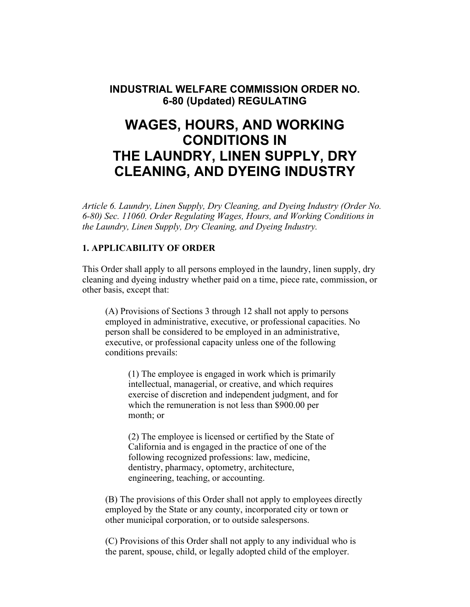**INDUSTRIAL WELFARE COMMISSION ORDER NO. 6-80 (Updated) REGULATING** 

# **WAGES, HOURS, AND WORKING CONDITIONS IN THE LAUNDRY, LINEN SUPPLY, DRY CLEANING, AND DYEING INDUSTRY**

*Article 6. Laundry, Linen Supply, Dry Cleaning, and Dyeing Industry (Order No. 6-80) Sec. 11060. Order Regulating Wages, Hours, and Working Conditions in the Laundry, Linen Supply, Dry Cleaning, and Dyeing Industry.* 

# **1. APPLICABILITY OF ORDER**

This Order shall apply to all persons employed in the laundry, linen supply, dry cleaning and dyeing industry whether paid on a time, piece rate, commission, or other basis, except that:

(A) Provisions of Sections 3 through 12 shall not apply to persons employed in administrative, executive, or professional capacities. No person shall be considered to be employed in an administrative, executive, or professional capacity unless one of the following conditions prevails:

(1) The employee is engaged in work which is primarily intellectual, managerial, or creative, and which requires exercise of discretion and independent judgment, and for which the remuneration is not less than \$900.00 per month; or

(2) The employee is licensed or certified by the State of California and is engaged in the practice of one of the following recognized professions: law, medicine, dentistry, pharmacy, optometry, architecture, engineering, teaching, or accounting.

(B) The provisions of this Order shall not apply to employees directly employed by the State or any county, incorporated city or town or other municipal corporation, or to outside salespersons.

(C) Provisions of this Order shall not apply to any individual who is the parent, spouse, child, or legally adopted child of the employer.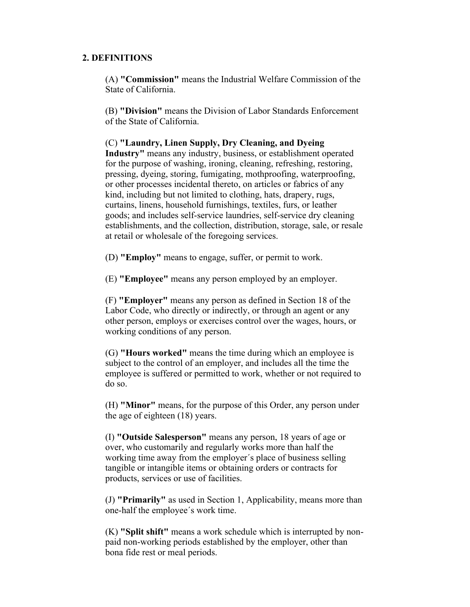# **2. DEFINITIONS**

(A) **"Commission"** means the Industrial Welfare Commission of the State of California.

(B) **"Division"** means the Division of Labor Standards Enforcement of the State of California.

(C) **"Laundry, Linen Supply, Dry Cleaning, and Dyeing Industry"** means any industry, business, or establishment operated for the purpose of washing, ironing, cleaning, refreshing, restoring, pressing, dyeing, storing, fumigating, mothproofing, waterproofing, or other processes incidental thereto, on articles or fabrics of any kind, including but not limited to clothing, hats, drapery, rugs, curtains, linens, household furnishings, textiles, furs, or leather goods; and includes self-service laundries, self-service dry cleaning establishments, and the collection, distribution, storage, sale, or resale at retail or wholesale of the foregoing services.

(D) **"Employ"** means to engage, suffer, or permit to work.

(E) **"Employee"** means any person employed by an employer.

(F) **"Employer"** means any person as defined in Section 18 of the Labor Code, who directly or indirectly, or through an agent or any other person, employs or exercises control over the wages, hours, or working conditions of any person.

(G) **"Hours worked"** means the time during which an employee is subject to the control of an employer, and includes all the time the employee is suffered or permitted to work, whether or not required to do so.

(H) **"Minor"** means, for the purpose of this Order, any person under the age of eighteen (18) years.

(I) **"Outside Salesperson"** means any person, 18 years of age or over, who customarily and regularly works more than half the working time away from the employer´s place of business selling tangible or intangible items or obtaining orders or contracts for products, services or use of facilities.

(J) **"Primarily"** as used in Section 1, Applicability, means more than one-half the employee´s work time.

(K) **"Split shift"** means a work schedule which is interrupted by nonpaid non-working periods established by the employer, other than bona fide rest or meal periods.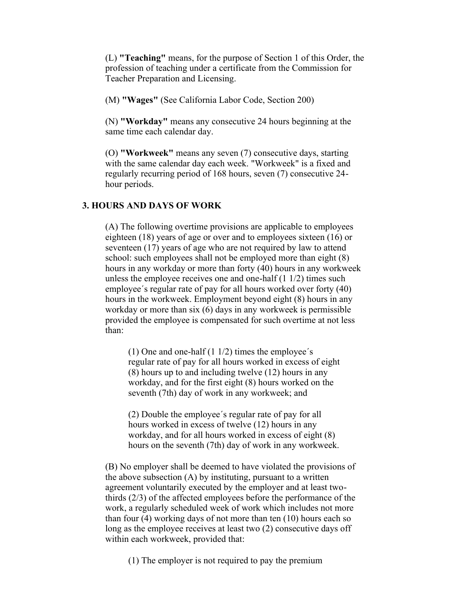(L) **"Teaching"** means, for the purpose of Section 1 of this Order, the profession of teaching under a certificate from the Commission for Teacher Preparation and Licensing.

(M) **"Wages"** (See California Labor Code, Section 200)

(N) **"Workday"** means any consecutive 24 hours beginning at the same time each calendar day.

(O) **"Workweek"** means any seven (7) consecutive days, starting with the same calendar day each week. "Workweek" is a fixed and regularly recurring period of 168 hours, seven (7) consecutive 24 hour periods.

#### **3. HOURS AND DAYS OF WORK**

(A) The following overtime provisions are applicable to employees eighteen (18) years of age or over and to employees sixteen (16) or seventeen (17) years of age who are not required by law to attend school: such employees shall not be employed more than eight (8) hours in any workday or more than forty (40) hours in any workweek unless the employee receives one and one-half (1 1/2) times such employee´s regular rate of pay for all hours worked over forty (40) hours in the workweek. Employment beyond eight (8) hours in any workday or more than six (6) days in any workweek is permissible provided the employee is compensated for such overtime at not less than:

(1) One and one-half  $(1 1/2)$  times the employee's regular rate of pay for all hours worked in excess of eight (8) hours up to and including twelve (12) hours in any workday, and for the first eight (8) hours worked on the seventh (7th) day of work in any workweek; and

(2) Double the employee´s regular rate of pay for all hours worked in excess of twelve (12) hours in any workday, and for all hours worked in excess of eight (8) hours on the seventh (7th) day of work in any workweek.

(B) No employer shall be deemed to have violated the provisions of the above subsection (A) by instituting, pursuant to a written agreement voluntarily executed by the employer and at least twothirds (2/3) of the affected employees before the performance of the work, a regularly scheduled week of work which includes not more than four (4) working days of not more than ten (10) hours each so long as the employee receives at least two (2) consecutive days off within each workweek, provided that:

(1) The employer is not required to pay the premium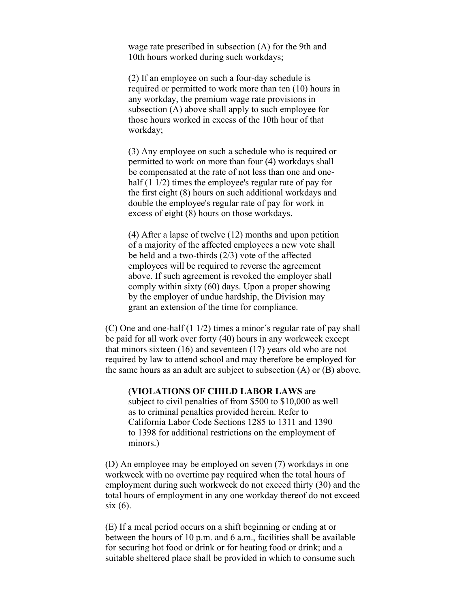wage rate prescribed in subsection (A) for the 9th and 10th hours worked during such workdays;

(2) If an employee on such a four-day schedule is required or permitted to work more than ten (10) hours in any workday, the premium wage rate provisions in subsection (A) above shall apply to such employee for those hours worked in excess of the 10th hour of that workday;

(3) Any employee on such a schedule who is required or permitted to work on more than four (4) workdays shall be compensated at the rate of not less than one and onehalf (1 1/2) times the employee's regular rate of pay for the first eight (8) hours on such additional workdays and double the employee's regular rate of pay for work in excess of eight (8) hours on those workdays.

(4) After a lapse of twelve (12) months and upon petition of a majority of the affected employees a new vote shall be held and a two-thirds (2/3) vote of the affected employees will be required to reverse the agreement above. If such agreement is revoked the employer shall comply within sixty (60) days. Upon a proper showing by the employer of undue hardship, the Division may grant an extension of the time for compliance.

(C) One and one-half (1 1/2) times a minor´s regular rate of pay shall be paid for all work over forty (40) hours in any workweek except that minors sixteen (16) and seventeen (17) years old who are not required by law to attend school and may therefore be employed for the same hours as an adult are subject to subsection (A) or (B) above.

(**VIOLATIONS OF CHILD LABOR LAWS** are subject to civil penalties of from \$500 to \$10,000 as well as to criminal penalties provided herein. Refer to California Labor Code Sections 1285 to 1311 and 1390 to 1398 for additional restrictions on the employment of minors.)

(D) An employee may be employed on seven (7) workdays in one workweek with no overtime pay required when the total hours of employment during such workweek do not exceed thirty (30) and the total hours of employment in any one workday thereof do not exceed six (6).

(E) If a meal period occurs on a shift beginning or ending at or between the hours of 10 p.m. and 6 a.m., facilities shall be available for securing hot food or drink or for heating food or drink; and a suitable sheltered place shall be provided in which to consume such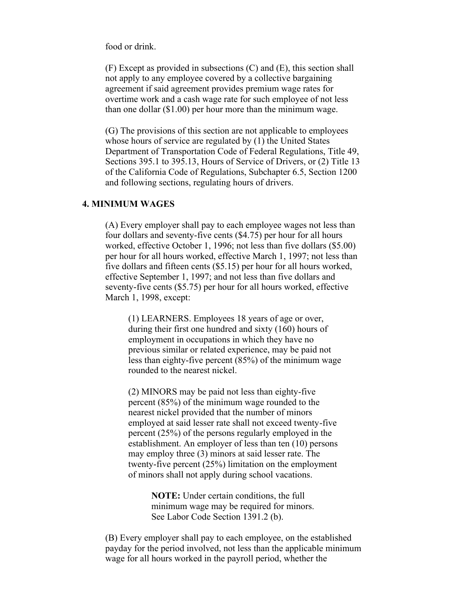food or drink.

(F) Except as provided in subsections (C) and (E), this section shall not apply to any employee covered by a collective bargaining agreement if said agreement provides premium wage rates for overtime work and a cash wage rate for such employee of not less than one dollar (\$1.00) per hour more than the minimum wage.

(G) The provisions of this section are not applicable to employees whose hours of service are regulated by (1) the United States Department of Transportation Code of Federal Regulations, Title 49, Sections 395.1 to 395.13, Hours of Service of Drivers, or (2) Title 13 of the California Code of Regulations, Subchapter 6.5, Section 1200 and following sections, regulating hours of drivers.

# **4. MINIMUM WAGES**

(A) Every employer shall pay to each employee wages not less than four dollars and seventy-five cents (\$4.75) per hour for all hours worked, effective October 1, 1996; not less than five dollars (\$5.00) per hour for all hours worked, effective March 1, 1997; not less than five dollars and fifteen cents (\$5.15) per hour for all hours worked, effective September 1, 1997; and not less than five dollars and seventy-five cents (\$5.75) per hour for all hours worked, effective March 1, 1998, except:

(1) LEARNERS. Employees 18 years of age or over, during their first one hundred and sixty (160) hours of employment in occupations in which they have no previous similar or related experience, may be paid not less than eighty-five percent (85%) of the minimum wage rounded to the nearest nickel.

(2) MINORS may be paid not less than eighty-five percent (85%) of the minimum wage rounded to the nearest nickel provided that the number of minors employed at said lesser rate shall not exceed twenty-five percent (25%) of the persons regularly employed in the establishment. An employer of less than ten (10) persons may employ three (3) minors at said lesser rate. The twenty-five percent (25%) limitation on the employment of minors shall not apply during school vacations.

> **NOTE:** Under certain conditions, the full minimum wage may be required for minors. See Labor Code Section 1391.2 (b).

(B) Every employer shall pay to each employee, on the established payday for the period involved, not less than the applicable minimum wage for all hours worked in the payroll period, whether the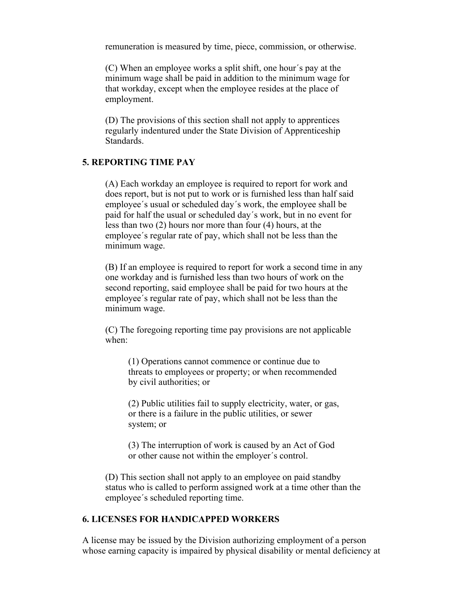remuneration is measured by time, piece, commission, or otherwise.

(C) When an employee works a split shift, one hour´s pay at the minimum wage shall be paid in addition to the minimum wage for that workday, except when the employee resides at the place of employment.

(D) The provisions of this section shall not apply to apprentices regularly indentured under the State Division of Apprenticeship **Standards** 

## **5. REPORTING TIME PAY**

(A) Each workday an employee is required to report for work and does report, but is not put to work or is furnished less than half said employee´s usual or scheduled day´s work, the employee shall be paid for half the usual or scheduled day´s work, but in no event for less than two (2) hours nor more than four (4) hours, at the employee´s regular rate of pay, which shall not be less than the minimum wage.

(B) If an employee is required to report for work a second time in any one workday and is furnished less than two hours of work on the second reporting, said employee shall be paid for two hours at the employee´s regular rate of pay, which shall not be less than the minimum wage.

(C) The foregoing reporting time pay provisions are not applicable when:

(1) Operations cannot commence or continue due to threats to employees or property; or when recommended by civil authorities; or

(2) Public utilities fail to supply electricity, water, or gas, or there is a failure in the public utilities, or sewer system; or

(3) The interruption of work is caused by an Act of God or other cause not within the employer´s control.

(D) This section shall not apply to an employee on paid standby status who is called to perform assigned work at a time other than the employee´s scheduled reporting time.

# **6. LICENSES FOR HANDICAPPED WORKERS**

A license may be issued by the Division authorizing employment of a person whose earning capacity is impaired by physical disability or mental deficiency at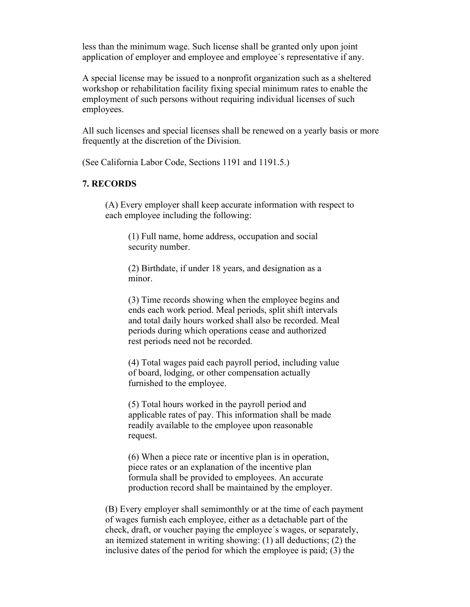less than the minimum wage. Such license shall be granted only upon joint application of employer and employee and employee´s representative if any.

A special license may be issued to a nonprofit organization such as a sheltered workshop or rehabilitation facility fixing special minimum rates to enable the employment of such persons without requiring individual licenses of such employees.

All such licenses and special licenses shall be renewed on a yearly basis or more frequently at the discretion of the Division.

(See California Labor Code, Sections 1191 and 1191.5.)

# **7. RECORDS**

(A) Every employer shall keep accurate information with respect to each employee including the following:

(1) Full name, home address, occupation and social security number.

(2) Birthdate, if under 18 years, and designation as a minor.

(3) Time records showing when the employee begins and ends each work period. Meal periods, split shift intervals and total daily hours worked shall also be recorded. Meal periods during which operations cease and authorized rest periods need not be recorded.

(4) Total wages paid each payroll period, including value of board, lodging, or other compensation actually furnished to the employee.

(5) Total hours worked in the payroll period and applicable rates of pay. This information shall be made readily available to the employee upon reasonable request.

(6) When a piece rate or incentive plan is in operation, piece rates or an explanation of the incentive plan formula shall be provided to employees. An accurate production record shall be maintained by the employer.

(B) Every employer shall semimonthly or at the time of each payment of wages furnish each employee, either as a detachable part of the check, draft, or voucher paying the employee´s wages, or separately, an itemized statement in writing showing: (1) all deductions; (2) the inclusive dates of the period for which the employee is paid; (3) the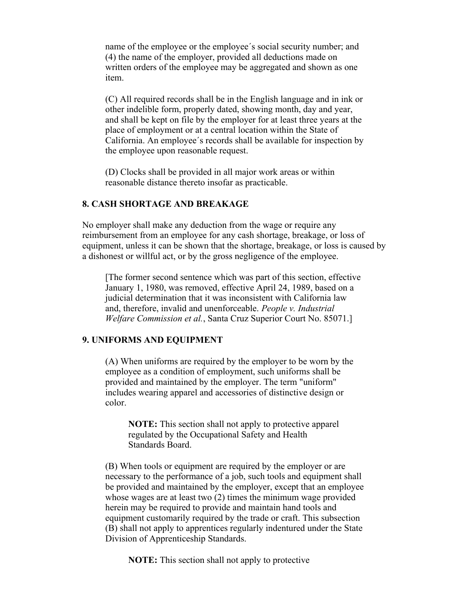name of the employee or the employee´s social security number; and (4) the name of the employer, provided all deductions made on written orders of the employee may be aggregated and shown as one item.

(C) All required records shall be in the English language and in ink or other indelible form, properly dated, showing month, day and year, and shall be kept on file by the employer for at least three years at the place of employment or at a central location within the State of California. An employee´s records shall be available for inspection by the employee upon reasonable request.

(D) Clocks shall be provided in all major work areas or within reasonable distance thereto insofar as practicable.

# **8. CASH SHORTAGE AND BREAKAGE**

No employer shall make any deduction from the wage or require any reimbursement from an employee for any cash shortage, breakage, or loss of equipment, unless it can be shown that the shortage, breakage, or loss is caused by a dishonest or willful act, or by the gross negligence of the employee.

[The former second sentence which was part of this section, effective January 1, 1980, was removed, effective April 24, 1989, based on a judicial determination that it was inconsistent with California law and, therefore, invalid and unenforceable. *People v. Industrial Welfare Commission et al.*, Santa Cruz Superior Court No. 85071.]

#### **9. UNIFORMS AND EQUIPMENT**

(A) When uniforms are required by the employer to be worn by the employee as a condition of employment, such uniforms shall be provided and maintained by the employer. The term "uniform" includes wearing apparel and accessories of distinctive design or color.

**NOTE:** This section shall not apply to protective apparel regulated by the Occupational Safety and Health Standards Board.

(B) When tools or equipment are required by the employer or are necessary to the performance of a job, such tools and equipment shall be provided and maintained by the employer, except that an employee whose wages are at least two (2) times the minimum wage provided herein may be required to provide and maintain hand tools and equipment customarily required by the trade or craft. This subsection (B) shall not apply to apprentices regularly indentured under the State Division of Apprenticeship Standards.

**NOTE:** This section shall not apply to protective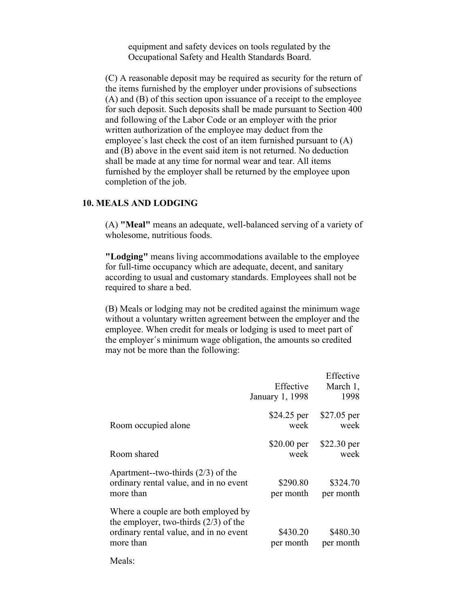equipment and safety devices on tools regulated by the Occupational Safety and Health Standards Board.

(C) A reasonable deposit may be required as security for the return of the items furnished by the employer under provisions of subsections (A) and (B) of this section upon issuance of a receipt to the employee for such deposit. Such deposits shall be made pursuant to Section 400 and following of the Labor Code or an employer with the prior written authorization of the employee may deduct from the employee´s last check the cost of an item furnished pursuant to (A) and (B) above in the event said item is not returned. No deduction shall be made at any time for normal wear and tear. All items furnished by the employer shall be returned by the employee upon completion of the job.

# **10. MEALS AND LODGING**

(A) **"Meal"** means an adequate, well-balanced serving of a variety of wholesome, nutritious foods.

**"Lodging"** means living accommodations available to the employee for full-time occupancy which are adequate, decent, and sanitary according to usual and customary standards. Employees shall not be required to share a bed.

(B) Meals or lodging may not be credited against the minimum wage without a voluntary written agreement between the employer and the employee. When credit for meals or lodging is used to meet part of the employer´s minimum wage obligation, the amounts so credited may not be more than the following:

|                                                                                                                                       | Effective<br>January 1, 1998 | Effective<br>March 1,<br>1998 |
|---------------------------------------------------------------------------------------------------------------------------------------|------------------------------|-------------------------------|
| Room occupied alone                                                                                                                   | \$24.25 per<br>week          | \$27.05 per<br>week           |
| Room shared                                                                                                                           | $$20.00$ per<br>week         | $$22.30$ per<br>week          |
| Apartment--two-thirds $(2/3)$ of the<br>ordinary rental value, and in no event<br>more than                                           | \$290.80<br>per month        | \$324.70<br>per month         |
| Where a couple are both employed by<br>the employer, two-thirds $(2/3)$ of the<br>ordinary rental value, and in no event<br>more than | \$430.20<br>per month        | \$480.30<br>per month         |
| Meals:                                                                                                                                |                              |                               |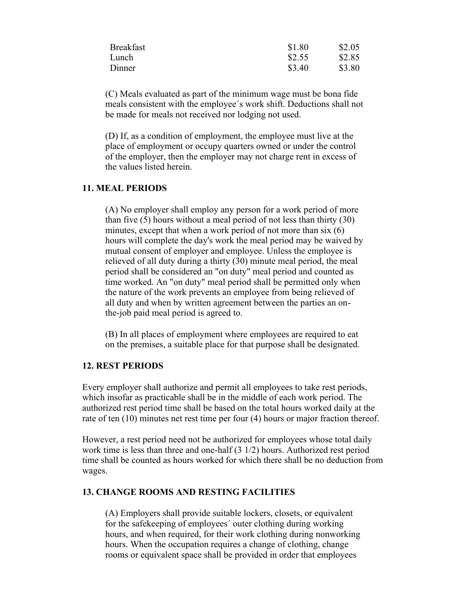| <b>Breakfast</b> | \$1.80 | \$2.05 |
|------------------|--------|--------|
| Lunch            | \$2.55 | \$2.85 |
| Dinner           | \$3.40 | \$3.80 |

(C) Meals evaluated as part of the minimum wage must be bona fide meals consistent with the employee´s work shift. Deductions shall not be made for meals not received nor lodging not used.

(D) If, as a condition of employment, the employee must live at the place of employment or occupy quarters owned or under the control of the employer, then the employer may not charge rent in excess of the values listed herein.

## **11. MEAL PERIODS**

(A) No employer shall employ any person for a work period of more than five (5) hours without a meal period of not less than thirty (30) minutes, except that when a work period of not more than six (6) hours will complete the day's work the meal period may be waived by mutual consent of employer and employee. Unless the employee is relieved of all duty during a thirty (30) minute meal period, the meal period shall be considered an "on duty" meal period and counted as time worked. An "on duty" meal period shall be permitted only when the nature of the work prevents an employee from being relieved of all duty and when by written agreement between the parties an onthe-job paid meal period is agreed to.

(B) In all places of employment where employees are required to eat on the premises, a suitable place for that purpose shall be designated.

#### **12. REST PERIODS**

Every employer shall authorize and permit all employees to take rest periods, which insofar as practicable shall be in the middle of each work period. The authorized rest period time shall be based on the total hours worked daily at the rate of ten (10) minutes net rest time per four (4) hours or major fraction thereof.

However, a rest period need not be authorized for employees whose total daily work time is less than three and one-half (3 1/2) hours. Authorized rest period time shall be counted as hours worked for which there shall be no deduction from wages.

#### **13. CHANGE ROOMS AND RESTING FACILITIES**

(A) Employers shall provide suitable lockers, closets, or equivalent for the safekeeping of employees´ outer clothing during working hours, and when required, for their work clothing during nonworking hours. When the occupation requires a change of clothing, change rooms or equivalent space shall be provided in order that employees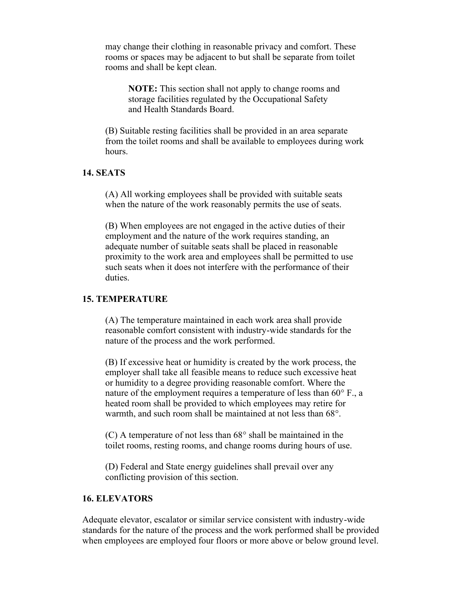may change their clothing in reasonable privacy and comfort. These rooms or spaces may be adjacent to but shall be separate from toilet rooms and shall be kept clean.

**NOTE:** This section shall not apply to change rooms and storage facilities regulated by the Occupational Safety and Health Standards Board.

(B) Suitable resting facilities shall be provided in an area separate from the toilet rooms and shall be available to employees during work hours.

# **14. SEATS**

(A) All working employees shall be provided with suitable seats when the nature of the work reasonably permits the use of seats.

(B) When employees are not engaged in the active duties of their employment and the nature of the work requires standing, an adequate number of suitable seats shall be placed in reasonable proximity to the work area and employees shall be permitted to use such seats when it does not interfere with the performance of their duties.

## **15. TEMPERATURE**

(A) The temperature maintained in each work area shall provide reasonable comfort consistent with industry-wide standards for the nature of the process and the work performed.

(B) If excessive heat or humidity is created by the work process, the employer shall take all feasible means to reduce such excessive heat or humidity to a degree providing reasonable comfort. Where the nature of the employment requires a temperature of less than 60° F., a heated room shall be provided to which employees may retire for warmth, and such room shall be maintained at not less than 68°.

(C) A temperature of not less than 68° shall be maintained in the toilet rooms, resting rooms, and change rooms during hours of use.

(D) Federal and State energy guidelines shall prevail over any conflicting provision of this section.

# **16. ELEVATORS**

Adequate elevator, escalator or similar service consistent with industry-wide standards for the nature of the process and the work performed shall be provided when employees are employed four floors or more above or below ground level.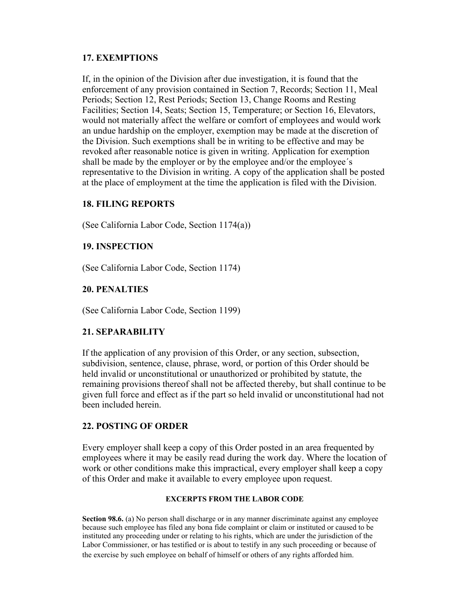# **17. EXEMPTIONS**

If, in the opinion of the Division after due investigation, it is found that the enforcement of any provision contained in Section 7, Records; Section 11, Meal Periods; Section 12, Rest Periods; Section 13, Change Rooms and Resting Facilities; Section 14, Seats; Section 15, Temperature; or Section 16, Elevators, would not materially affect the welfare or comfort of employees and would work an undue hardship on the employer, exemption may be made at the discretion of the Division. Such exemptions shall be in writing to be effective and may be revoked after reasonable notice is given in writing. Application for exemption shall be made by the employer or by the employee and/or the employee´s representative to the Division in writing. A copy of the application shall be posted at the place of employment at the time the application is filed with the Division.

# **18. FILING REPORTS**

(See California Labor Code, Section 1174(a))

# **19. INSPECTION**

(See California Labor Code, Section 1174)

# **20. PENALTIES**

(See California Labor Code, Section 1199)

# **21. SEPARABILITY**

If the application of any provision of this Order, or any section, subsection, subdivision, sentence, clause, phrase, word, or portion of this Order should be held invalid or unconstitutional or unauthorized or prohibited by statute, the remaining provisions thereof shall not be affected thereby, but shall continue to be given full force and effect as if the part so held invalid or unconstitutional had not been included herein.

# **22. POSTING OF ORDER**

Every employer shall keep a copy of this Order posted in an area frequented by employees where it may be easily read during the work day. Where the location of work or other conditions make this impractical, every employer shall keep a copy of this Order and make it available to every employee upon request.

## **EXCERPTS FROM THE LABOR CODE**

**Section 98.6.** (a) No person shall discharge or in any manner discriminate against any employee because such employee has filed any bona fide complaint or claim or instituted or caused to be instituted any proceeding under or relating to his rights, which are under the jurisdiction of the Labor Commissioner, or has testified or is about to testify in any such proceeding or because of the exercise by such employee on behalf of himself or others of any rights afforded him.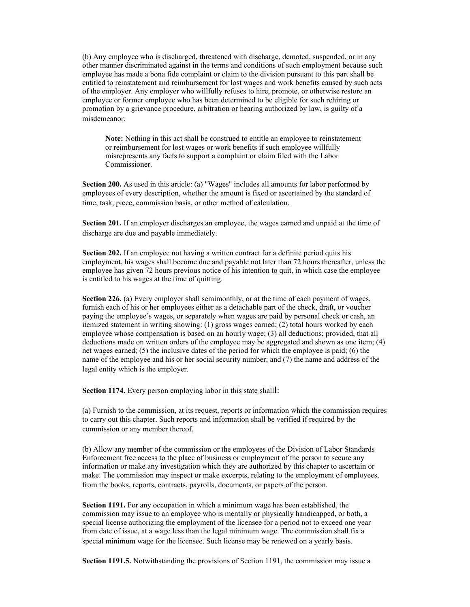(b) Any employee who is discharged, threatened with discharge, demoted, suspended, or in any other manner discriminated against in the terms and conditions of such employment because such employee has made a bona fide complaint or claim to the division pursuant to this part shall be entitled to reinstatement and reimbursement for lost wages and work benefits caused by such acts of the employer. Any employer who willfully refuses to hire, promote, or otherwise restore an employee or former employee who has been determined to be eligible for such rehiring or promotion by a grievance procedure, arbitration or hearing authorized by law, is guilty of a misdemeanor.

**Note:** Nothing in this act shall be construed to entitle an employee to reinstatement or reimbursement for lost wages or work benefits if such employee willfully misrepresents any facts to support a complaint or claim filed with the Labor Commissioner.

**Section 200.** As used in this article: (a) "Wages" includes all amounts for labor performed by employees of every description, whether the amount is fixed or ascertained by the standard of time, task, piece, commission basis, or other method of calculation.

**Section 201.** If an employer discharges an employee, the wages earned and unpaid at the time of discharge are due and payable immediately.

**Section 202.** If an employee not having a written contract for a definite period quits his employment, his wages shall become due and payable not later than 72 hours thereafter, unless the employee has given 72 hours previous notice of his intention to quit, in which case the employee is entitled to his wages at the time of quitting.

**Section 226.** (a) Every employer shall semimonthly, or at the time of each payment of wages, furnish each of his or her employees either as a detachable part of the check, draft, or voucher paying the employee´s wages, or separately when wages are paid by personal check or cash, an itemized statement in writing showing: (1) gross wages earned; (2) total hours worked by each employee whose compensation is based on an hourly wage; (3) all deductions; provided, that all deductions made on written orders of the employee may be aggregated and shown as one item; (4) net wages earned; (5) the inclusive dates of the period for which the employee is paid; (6) the name of the employee and his or her social security number; and (7) the name and address of the legal entity which is the employer.

**Section 1174.** Every person employing labor in this state shalll:

(a) Furnish to the commission, at its request, reports or information which the commission requires to carry out this chapter. Such reports and information shall be verified if required by the commission or any member thereof.

(b) Allow any member of the commission or the employees of the Division of Labor Standards Enforcement free access to the place of business or employment of the person to secure any information or make any investigation which they are authorized by this chapter to ascertain or make. The commission may inspect or make excerpts, relating to the employment of employees, from the books, reports, contracts, payrolls, documents, or papers of the person.

**Section 1191.** For any occupation in which a minimum wage has been established, the commission may issue to an employee who is mentally or physically handicapped, or both, a special license authorizing the employment of the licensee for a period not to exceed one year from date of issue, at a wage less than the legal minimum wage. The commission shall fix a special minimum wage for the licensee. Such license may be renewed on a yearly basis.

**Section 1191.5.** Notwithstanding the provisions of Section 1191, the commission may issue a